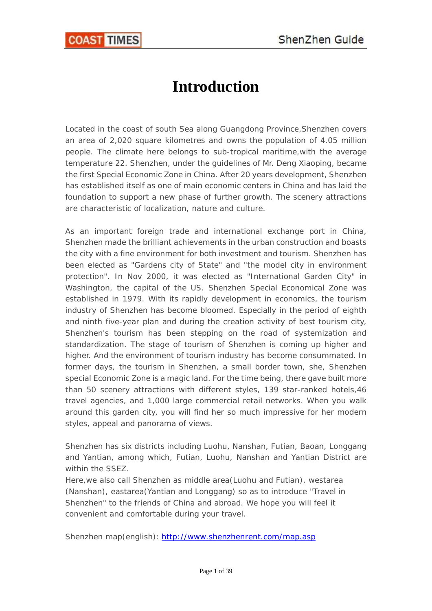# **Introduction**

<span id="page-0-0"></span>Located in the coast of south Sea along Guangdong Province,Shenzhen covers an area of 2,020 square kilometres and owns the population of 4.05 million people. The climate here belongs to sub-tropical maritime,with the average temperature 22. Shenzhen, under the guidelines of Mr. Deng Xiaoping, became the first Special Economic Zone in China. After 20 years development, Shenzhen has established itself as one of main economic centers in China and has laid the foundation to support a new phase of further growth. The scenery attractions are characteristic of localization, nature and culture.

As an important foreign trade and international exchange port in China, Shenzhen made the brilliant achievements in the urban construction and boasts the city with a fine environment for both investment and tourism. Shenzhen has been elected as "Gardens city of State" and "the model city in environment protection". In Nov 2000, it was elected as "International Garden City" in Washington, the capital of the US. Shenzhen Special Economical Zone was established in 1979. With its rapidly development in economics, the tourism industry of Shenzhen has become bloomed. Especially in the period of eighth and ninth five-year plan and during the creation activity of best tourism city, Shenzhen's tourism has been stepping on the road of systemization and standardization. The stage of tourism of Shenzhen is coming up higher and higher. And the environment of tourism industry has become consummated. In former days, the tourism in Shenzhen, a small border town, she, Shenzhen special Economic Zone is a magic land. For the time being, there gave built more than 50 scenery attractions with different styles, 139 star-ranked hotels,46 travel agencies, and 1,000 large commercial retail networks. When you walk around this garden city, you will find her so much impressive for her modern styles, appeal and panorama of views.

Shenzhen has six districts including Luohu, Nanshan, Futian, Baoan, Longgang and Yantian, among which, Futian, Luohu, Nanshan and Yantian District are within the SSEZ.

Here,we also call Shenzhen as middle area(Luohu and Futian), westarea (Nanshan), eastarea(Yantian and Longgang) so as to introduce "Travel in Shenzhen" to the friends of China and abroad. We hope you will feel it convenient and comfortable during your travel.

Shenzhen map(english): <http://www.shenzhenrent.com/map.asp>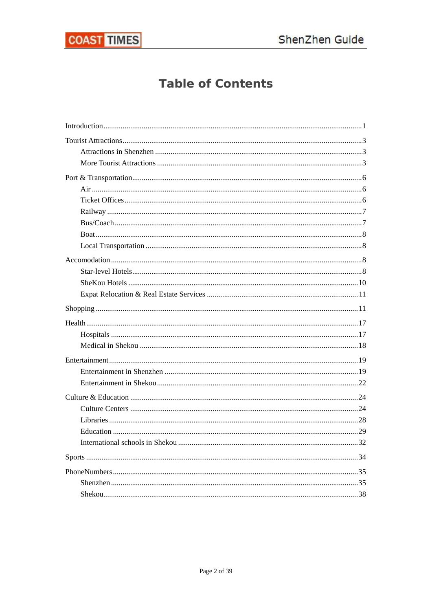

## **Table of Contents**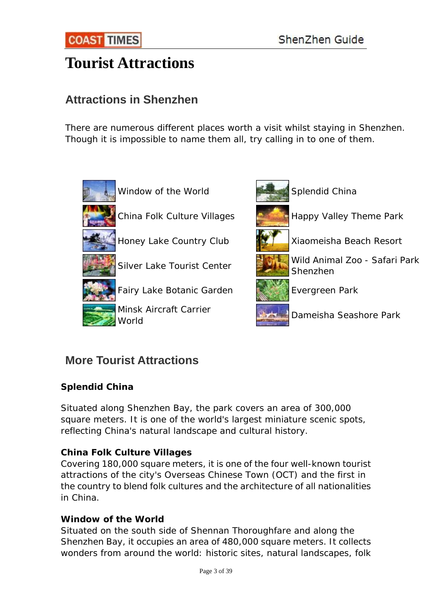# <span id="page-2-0"></span>**[Tourist Attractions](http://www.sznews.com/english/content/2007-03/07/content_915573.htm)**

## **Attractions in Shenzhen**

There are numerous different places worth a visit whilst staying in Shenzhen. Though it is impossible to name them all, try calling in to one of them.



## **More Tourist Attractions**

## **Splendid China**

Situated along Shenzhen Bay, the park covers an area of 300,000 square meters. It is one of the world's largest miniature scenic spots, reflecting China's natural landscape and cultural history.

## **China Folk Culture Villages**

Covering 180,000 square meters, it is one of the four well-known tourist attractions of the city's Overseas Chinese Town (OCT) and the first in the country to blend folk cultures and the architecture of all nationalities in China.

## **Window of the World**

Situated on the south side of Shennan Thoroughfare and along the Shenzhen Bay, it occupies an area of 480,000 square meters. It collects wonders from around the world: historic sites, natural landscapes, folk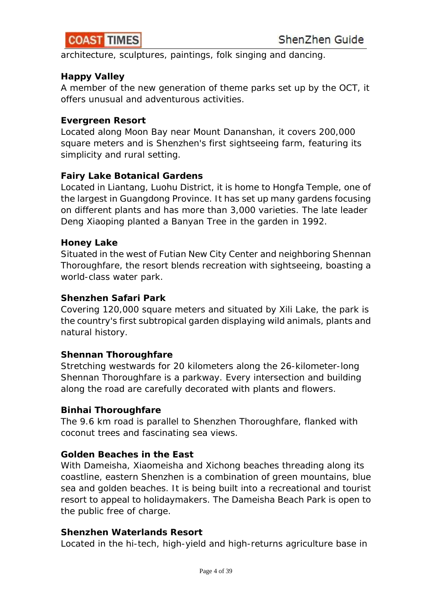

architecture, sculptures, paintings, folk singing and dancing.

#### **Happy Valley**

A member of the new generation of theme parks set up by the OCT, it offers unusual and adventurous activities.

#### **Evergreen Resort**

Located along Moon Bay near Mount Dananshan, it covers 200,000 square meters and is Shenzhen's first sightseeing farm, featuring its simplicity and rural setting.

#### **Fairy Lake Botanical Gardens**

Located in Liantang, Luohu District, it is home to Hongfa Temple, one of the largest in Guangdong Province. It has set up many gardens focusing on different plants and has more than 3,000 varieties. The late leader Deng Xiaoping planted a Banyan Tree in the garden in 1992.

#### **Honey Lake**

Situated in the west of Futian New City Center and neighboring Shennan Thoroughfare, the resort blends recreation with sightseeing, boasting a world-class water park.

#### **Shenzhen Safari Park**

Covering 120,000 square meters and situated by Xili Lake, the park is the country's first subtropical garden displaying wild animals, plants and natural history.

#### **Shennan Thoroughfare**

Stretching westwards for 20 kilometers along the 26-kilometer-long Shennan Thoroughfare is a parkway. Every intersection and building along the road are carefully decorated with plants and flowers.

#### **Binhai Thoroughfare**

The 9.6 km road is parallel to Shenzhen Thoroughfare, flanked with coconut trees and fascinating sea views.

#### **Golden Beaches in the East**

With Dameisha, Xiaomeisha and Xichong beaches threading along its coastline, eastern Shenzhen is a combination of green mountains, blue sea and golden beaches. It is being built into a recreational and tourist resort to appeal to holidaymakers. The Dameisha Beach Park is open to the public free of charge.

#### **Shenzhen Waterlands Resort**

Located in the hi-tech, high-yield and high-returns agriculture base in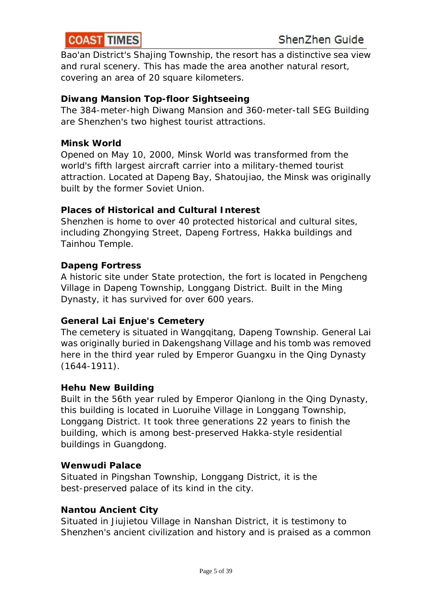Bao'an District's Shajing Township, the resort has a distinctive sea view and rural scenery. This has made the area another natural resort, covering an area of 20 square kilometers.

### **Diwang Mansion Top-floor Sightseeing**

The 384-meter-high Diwang Mansion and 360-meter-tall SEG Building are Shenzhen's two highest tourist attractions.

#### **Minsk World**

Opened on May 10, 2000, Minsk World was transformed from the world's fifth largest aircraft carrier into a military-themed tourist attraction. Located at Dapeng Bay, Shatoujiao, the Minsk was originally built by the former Soviet Union.

#### **Places of Historical and Cultural Interest**

Shenzhen is home to over 40 protected historical and cultural sites, including Zhongying Street, Dapeng Fortress, Hakka buildings and Tainhou Temple.

#### **Dapeng Fortress**

A historic site under State protection, the fort is located in Pengcheng Village in Dapeng Township, Longgang District. Built in the Ming Dynasty, it has survived for over 600 years.

#### **General Lai Enjue's Cemetery**

The cemetery is situated in Wangqitang, Dapeng Township. General Lai was originally buried in Dakengshang Village and his tomb was removed here in the third year ruled by Emperor Guangxu in the Qing Dynasty (1644-1911).

#### **Hehu New Building**

Built in the 56th year ruled by Emperor Qianlong in the Qing Dynasty, this building is located in Luoruihe Village in Longgang Township, Longgang District. It took three generations 22 years to finish the building, which is among best-preserved Hakka-style residential buildings in Guangdong.

#### **Wenwudi Palace**

Situated in Pingshan Township, Longgang District, it is the best-preserved palace of its kind in the city.

#### **Nantou Ancient City**

Situated in Jiujietou Village in Nanshan District, it is testimony to Shenzhen's ancient civilization and history and is praised as a common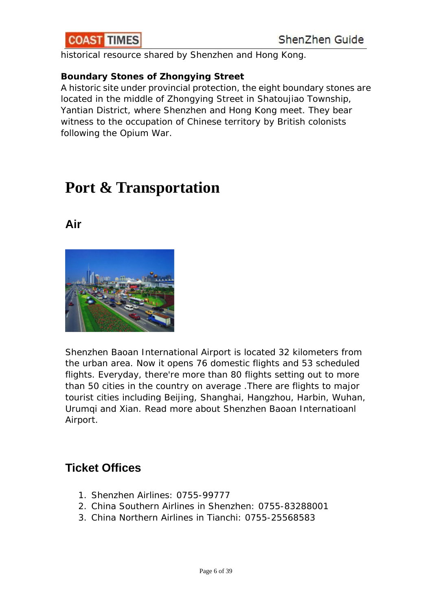<span id="page-5-0"></span>

historical resource shared by Shenzhen and Hong Kong.

### **Boundary Stones of Zhongying Street**

A historic site under provincial protection, the eight boundary stones are located in the middle of Zhongying Street in Shatoujiao Township, Yantian District, where Shenzhen and Hong Kong meet. They bear witness to the occupation of Chinese territory by British colonists following the Opium War.

# **[Port & Transportation](http://www.sznews.com/english/content/2007-03/07/content_915571.htm)**

## **Air**



Shenzhen Baoan International Airport is located 32 kilometers from the urban area. Now it opens 76 domestic flights and 53 scheduled flights. Everyday, there're more than 80 flights setting out to more than 50 cities in the country on average .There are flights to major tourist cities including [Beijing,](http://www.chinahighlights.com/beijing/) [Shanghai](http://www.chinahighlights.com/shanghai/), [Hangzhou,](http://www.chinahighlights.com/hangzhou/) [Harbin](http://www.chinahighlights.com/harbin/), [Wuhan,](http://www.chinahighlights.com/wuhan/) [Urumqi](http://www.chinahighlights.com/urumqi/) and [Xian.](http://www.chinahighlights.com/xian/) [Read more about Shenzhen Baoan Internatioanl](http://www.chinahighlights.com/china-flights/china-airport/shenzhen-baoan-airport.htm)  [Airport](http://www.chinahighlights.com/china-flights/china-airport/shenzhen-baoan-airport.htm).

## **Ticket Offices**

- 1. Shenzhen Airlines: 0755-99777
- 2. China Southern Airlines in Shenzhen: 0755-83288001
- 3. China Northern Airlines in Tianchi: 0755-25568583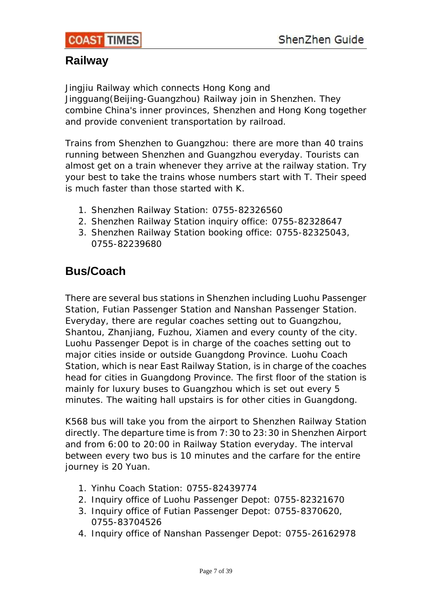## <span id="page-6-0"></span>**Railway**

Jingjiu Railway which connects Hong Kong and

Jingguang(Beijing-Guangzhou) Railway join in Shenzhen. They combine China's inner provinces, Shenzhen and Hong Kong together and provide convenient transportation by railroad.

Trains from Shenzhen to [Guangzhou](http://www.chinahighlights.com/guangzhou/): there are more than 40 trains running between Shenzhen and Guangzhou everyday. Tourists can almost get on a train whenever they arrive at the railway station. Try your best to take the trains whose numbers start with T. Their speed is much faster than those started with K.

- 1. Shenzhen Railway Station: 0755-82326560
- 2. Shenzhen Railway Station inquiry office: 0755-82328647
- 3. Shenzhen Railway Station booking office: 0755-82325043, 0755-82239680

## **Bus/Coach**

There are several bus stations in Shenzhen including Luohu Passenger Station, Futian Passenger Station and Nanshan Passenger Station. Everyday, there are regular coaches setting out to [Guangzhou,](http://www.chinahighlights.com/guangzhou/) Shantou, Zhanjiang, Fuzhou, Xiamen and every county of the city. Luohu Passenger Depot is in charge of the coaches setting out to major cities inside or outside Guangdong Province. Luohu Coach Station, which is near East Railway Station, is in charge of the coaches head for cities in Guangdong Province. The first floor of the station is mainly for luxury buses to Guangzhou which is set out every 5 minutes. The waiting hall upstairs is for other cities in Guangdong.

K568 bus will take you from the airport to Shenzhen Railway Station directly. The departure time is from 7:30 to 23:30 in Shenzhen Airport and from 6:00 to 20:00 in Railway Station everyday. The interval between every two bus is 10 minutes and the carfare for the entire journey is 20 Yuan.

- 1. Yinhu Coach Station: 0755-82439774
- 2. Inquiry office of Luohu Passenger Depot: 0755-82321670
- 3. Inquiry office of Futian Passenger Depot: 0755-8370620, 0755-83704526
- 4. Inquiry office of Nanshan Passenger Depot: 0755-26162978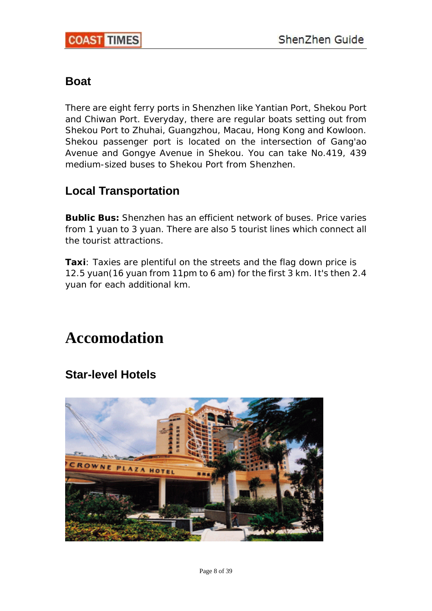$\overline{\phantom{a}}$ 

## <span id="page-7-0"></span>**Boat**

There are eight ferry ports in Shenzhen like Yantian Port, Shekou Port and Chiwan Port. Everyday, there are regular boats setting out from Shekou Port to Zhuhai, [Guangzhou](http://www.chinahighlights.com/guangzhou/), [Macau](http://www.chinahighlights.com/macau/), [Hong Kong](http://www.chinahighlights.com/hongkong/) and Kowloon. Shekou passenger port is located on the intersection of Gang'ao Avenue and Gongye Avenue in Shekou. You can take No.419, 439 medium-sized buses to Shekou Port from Shenzhen.

## **Local Transportation**

**Bublic Bus:** Shenzhen has an efficient network of buses. Price varies from 1 yuan to 3 yuan. There are also 5 tourist lines which connect all the tourist attractions.

**Taxi**: Taxies are plentiful on the streets and the flag down price is 12.5 yuan(16 yuan from 11pm to 6 am) for the first 3 km. It's then 2.4 yuan for each additional km.

# **[Accomodation](http://www.sznews.com/english/content/2007-03/07/content_915572.htm)**

## **Star-level Hotels**

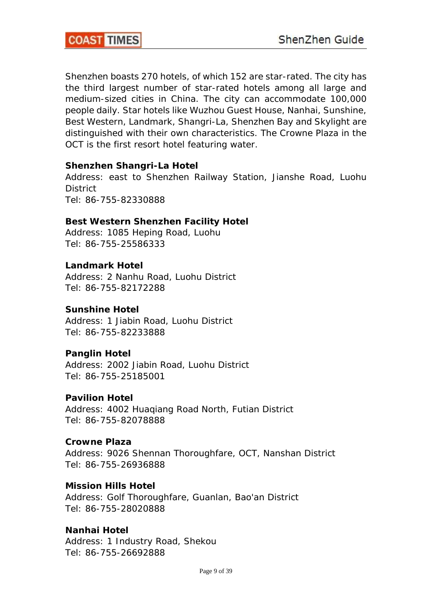Shenzhen boasts 270 hotels, of which 152 are star-rated. The city has the third largest number of star-rated hotels among all large and medium-sized cities in China. The city can accommodate 100,000 people daily. Star hotels like Wuzhou Guest House, Nanhai, Sunshine, Best Western, Landmark, Shangri-La, Shenzhen Bay and Skylight are distinguished with their own characteristics. The Crowne Plaza in the OCT is the first resort hotel featuring water.

#### **Shenzhen Shangri-La Hotel**

Address: east to Shenzhen Railway Station, Jianshe Road, Luohu **District** Tel: 86-755-82330888

#### **Best Western Shenzhen Facility Hotel**

Address: 1085 Heping Road, Luohu Tel: 86-755-25586333

#### **Landmark Hotel**

Address: 2 Nanhu Road, Luohu District Tel: 86-755-82172288

#### **Sunshine Hotel**

Address: 1 Jiabin Road, Luohu District Tel: 86-755-82233888

#### **Panglin Hotel**

Address: 2002 Jiabin Road, Luohu District Tel: 86-755-25185001

#### **Pavilion Hotel**

Address: 4002 Huaqiang Road North, Futian District Tel: 86-755-82078888

#### **Crowne Plaza**

Address: 9026 Shennan Thoroughfare, OCT, Nanshan District Tel: 86-755-26936888

#### **Mission Hills Hotel**

Address: Golf Thoroughfare, Guanlan, Bao'an District Tel: 86-755-28020888

#### **Nanhai Hotel**

Address: 1 Industry Road, Shekou Tel: 86-755-26692888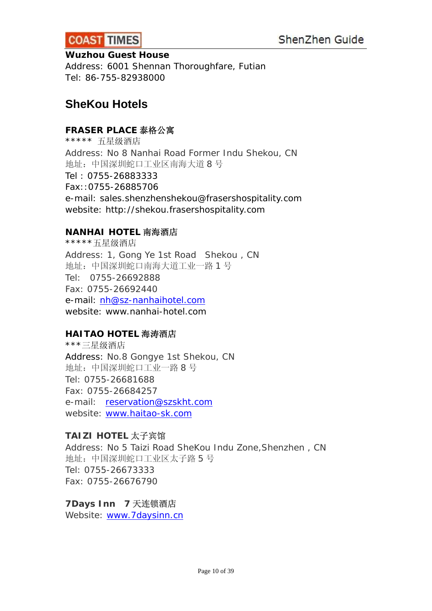<span id="page-9-0"></span>

#### **Wuzhou Guest House**

Address: 6001 Shennan Thoroughfare, Futian Tel: 86-755-82938000

## **SheKou Hotels**

## **FRASER PLACE** 泰格公寓

\*\*\*\*\* 五星级酒店 Address: No 8 Nanhai Road Former Indu Shekou, CN 地址:中国深圳蛇口工业区南海大道 8 号 Tel : 0755-26883333 Fax::0755-26885706 e-mail: sales.shenzhenshekou@frasershospitality.com website: http://shekou.frasershospitality.com

#### **NANHAI HOTEL** 南海酒店

\*\*\*\*\*五星级酒店 Address: 1, Gong Ye 1st Road Shekou , CN 地址:中国深圳蛇口南海大道工业一路 1 号 Tel: 0755-26692888 Fax: 0755-26692440 e-mail: [nh@sz-nanhaihotel.com](mailto:nh@sz-nanhaihotel.com) website: www.nanhai-hotel.com

#### **HAITAO HOTEL** 海涛酒店

\*\*\*三星级酒店 Address: No.8 Gongye 1st Shekou, CN 地址:中国深圳蛇口工业一路 8 号 Tel: 0755-26681688 Fax: 0755-26684257 e-mail: [reservation@szskht.com](mailto:reservation@szskht.com) website: [www.haitao-sk.com](http://www.haitao-sk.com/)

## **TAIZI HOTEL** 太子宾馆

Address: No 5 Taizi Road SheKou Indu Zone,Shenzhen , CN 地址:中国深圳蛇口工业区太子路 5 号 Tel: 0755-26673333 Fax: 0755-26676790

#### **7Days Inn 7** 天连锁酒店

Website: [www.7daysinn.cn](http://www.7daysinn.cn/)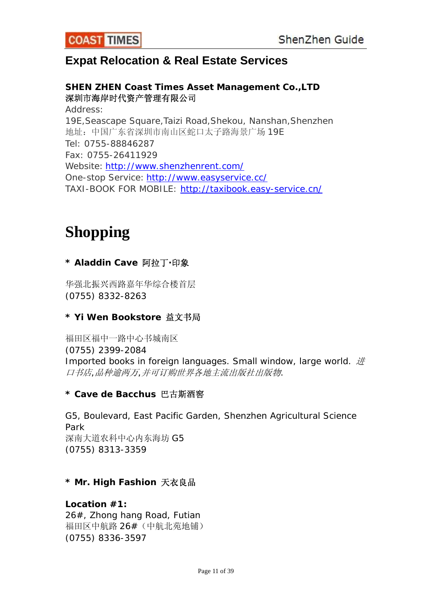## <span id="page-10-0"></span>**Expat Relocation & Real Estate Services**

## **SHEN ZHEN Coast Times Asset Management Co.,LTD**  深圳市海岸时代资产管理有限公司 Address: 19E,Seascape Square,Taizi Road,Shekou, Nanshan,Shenzhen 地址:中国广东省深圳市南山区蛇口太子路海景广场 19E Tel: 0755-88846287 Fax: 0755-26411929 Website: <http://www.shenzhenrent.com/> One-stop Service: <http://www.easyservice.cc/> TAXI-BOOK FOR MOBILE: <http://taxibook.easy-service.cn/>

# **Shopping**

## **\* Aladdin Cave** 阿拉丁**·**印象

华强北振兴西路嘉年华综合楼首层 (0755) 8332-8263

## **\* Yi Wen Bookstore** 益文书局

福田区福中一路中心书城南区 (0755) 2399-2084 Imported books in foreign languages. Small window, large world. 进 口书店*,*品种逾两万*,*并可订购世界各地主流出版社出版物*.*

#### **\* Cave de Bacchus** 巴古斯酒窖

G5, Boulevard, East Pacific Garden, Shenzhen Agricultural Science Park 深南大道农科中心内东海坊 G5 (0755) 8313-3359

#### **\* Mr. High Fashion** 天衣良品

## **Location #1:**

26#, Zhong hang Road, Futian 福田区中航路 26#(中航北苑地铺) (0755) 8336-3597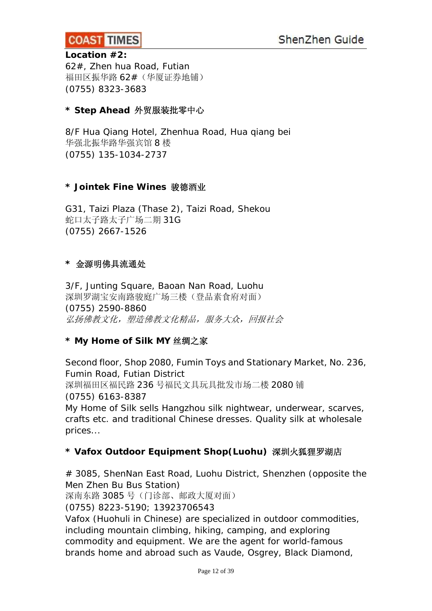

#### **Location #2:**

62#, Zhen hua Road, Futian 福田区振华路 62#(华厦证券地铺) (0755) 8323-3683

#### **\* Step Ahead** 外贸服装批零中心

8/F Hua Qiang Hotel, Zhenhua Road, Hua qiang bei 华强北振华路华强宾馆 8 楼 (0755) 135-1034-2737

#### **\* Jointek Fine Wines** 骏德酒业

G31, Taizi Plaza (Thase 2), Taizi Road, Shekou 蛇口太子路太子广场二期 31G (0755) 2667-1526

#### **\*** 金源明佛具流通处

3/F, Junting Square, Baoan Nan Road, Luohu 深圳罗湖宝安南路骏庭广场三楼(登品素食府对面) (0755) 2590-8860 弘扬佛教文化,塑造佛教文化精品,服务大众,回报社会

#### **\* My Home of Silk MY** 丝绸之家

Second floor, Shop 2080, Fumin Toys and Stationary Market, No. 236, Fumin Road, Futian District 深圳福田区福民路 236 号福民文具玩具批发市场二楼 2080 铺 (0755) 6163-8387 *My Home of Silk sells Hangzhou silk nightwear, underwear, scarves, crafts etc. and traditional Chinese dresses. Quality silk at wholesale prices...*

#### **\* Vafox Outdoor Equipment Shop(Luohu)** 深圳火狐狸罗湖店

# 3085, ShenNan East Road, Luohu District, Shenzhen (opposite the Men Zhen Bu Bus Station) 深南东路 3085 号(门诊部、邮政大厦对面) (0755) 8223-5190; 13923706543 *Vafox (Huohuli in Chinese) are specialized in outdoor commodities, including mountain climbing, hiking, camping, and exploring commodity and equipment. We are the agent for world-famous brands home and abroad such as Vaude, Osgrey, Black Diamond,*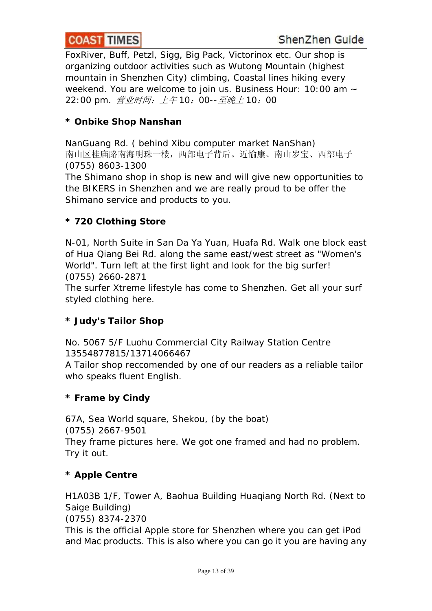*FoxRiver, Buff, Petzl, Sigg, Big Pack, Victorinox etc. Our shop is organizing outdoor activities such as Wutong Mountain (highest mountain in Shenzhen City) climbing, Coastal lines hiking every weekend. You are welcome to join us. Business Hour: 10:00 am ~ 22:00 pm.* 营业时间:上午 *10*:*00--*至晚上 *10*:*00*

### **\* Onbike Shop Nanshan**

NanGuang Rd. ( behind Xibu computer market NanShan) 南山区桂庙路南海明珠一楼,西部电子背后。近愉康、南山岁宝、西部电子 (0755) 8603-1300 *The Shimano shop in shop is new and will give new opportunities to the BIKERS in Shenzhen and we are really proud to be offer the Shimano service and products to you.*

### **\* 720 Clothing Store**

N-01, North Suite in San Da Ya Yuan, Huafa Rd. Walk one block east of Hua Qiang Bei Rd. along the same east/west street as "Women's World". Turn left at the first light and look for the big surfer! (0755) 2660-2871

*The surfer Xtreme lifestyle has come to Shenzhen. Get all your surf styled clothing here.*

## **\* Judy's Tailor Shop**

No. 5067 5/F Luohu Commercial City Railway Station Centre 13554877815/13714066467 *A Tailor shop reccomended by one of our readers as a reliable tailor who speaks fluent English.*

#### **\* Frame by Cindy**

67A, Sea World square, Shekou, (by the boat) (0755) 2667-9501 *They frame pictures here. We got one framed and had no problem. Try it out.*

## **\* Apple Centre**

H1A03B 1/F, Tower A, Baohua Building Huaqiang North Rd. (Next to Saige Building) (0755) 8374-2370 *This is the official Apple store for Shenzhen where you can get iPod and Mac products. This is also where you can go it you are having any*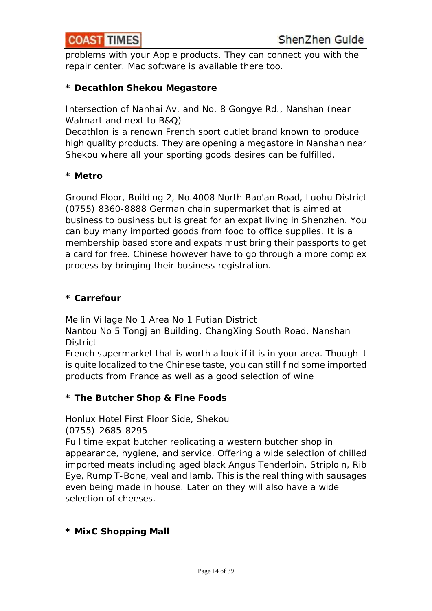*problems with your Apple products. They can connect you with the repair center. Mac software is available there too.*

## **\* Decathlon Shekou Megastore**

Intersection of Nanhai Av. and No. 8 Gongye Rd., Nanshan (near Walmart and next to B&Q)

*Decathlon is a renown French sport outlet brand known to produce high quality products. They are opening a megastore in Nanshan near Shekou where all your sporting goods desires can be fulfilled.*

## **\* Metro**

Ground Floor, Building 2, No.4008 North Bao'an Road, Luohu District (0755) 8360-8888 *German chain supermarket that is aimed at business to business but is great for an expat living in Shenzhen. You can buy many imported goods from food to office supplies. It is a membership based store and expats must bring their passports to get a card for free. Chinese however have to go through a more complex process by bringing their business registration.*

### **\* Carrefour**

Meilin Village No 1 Area No 1 Futian District

Nantou No 5 Tongjian Building, ChangXing South Road, Nanshan **District** 

*French supermarket that is worth a look if it is in your area. Though it is quite localized to the Chinese taste, you can still find some imported products from France as well as a good selection of wine*

## **\* The Butcher Shop & Fine Foods**

Honlux Hotel First Floor Side, Shekou

(0755)-2685-8295

*Full time expat butcher replicating a western butcher shop in appearance, hygiene, and service. Offering a wide selection of chilled imported meats including aged black Angus Tenderloin, Striploin, Rib Eye, Rump T-Bone, veal and lamb. This is the real thing with sausages even being made in house. Later on they will also have a wide selection of cheeses.*

## **\* MixC Shopping Mall**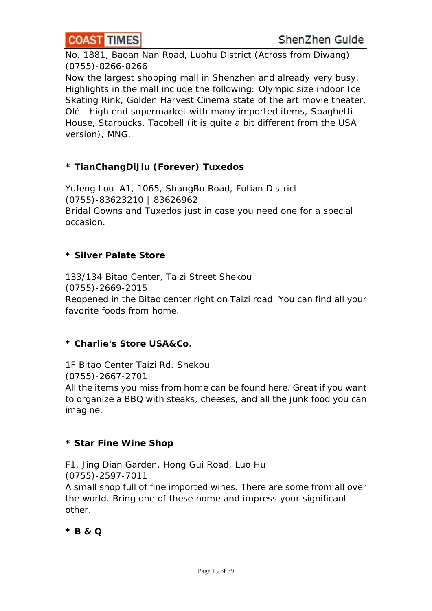

No. 1881, Baoan Nan Road, Luohu District (Across from Diwang) (0755)-8266-8266

*Now the largest shopping mall in Shenzhen and already very busy. Highlights in the mall include the following: Olympic size indoor Ice Skating Rink, Golden Harvest Cinema state of the art movie theater, Olé - high end supermarket with many imported items, Spaghetti House, Starbucks, Tacobell (it is quite a bit different from the USA version), MNG.*

## **\* TianChangDiJiu (Forever) Tuxedos**

Yufeng Lou\_A1, 1065, ShangBu Road, Futian District (0755)-83623210 | 83626962 *Bridal Gowns and Tuxedos just in case you need one for a special occasion.*

#### **\* Silver Palate Store**

133/134 Bitao Center, Taizi Street Shekou (0755)-2669-2015 *Reopened in the Bitao center right on Taizi road. You can find all your favorite foods from home.*

#### **\* Charlie's Store USA&Co.**

1F Bitao Center Taizi Rd. Shekou (0755)-2667-2701 *All the items you miss from home can be found here. Great if you want to organize a BBQ with steaks, cheeses, and all the junk food you can imagine.*

#### **\* Star Fine Wine Shop**

F1, Jing Dian Garden, Hong Gui Road, Luo Hu (0755)-2597-7011 *A small shop full of fine imported wines. There are some from all over the world. Bring one of these home and impress your significant other.*

**\* B & Q**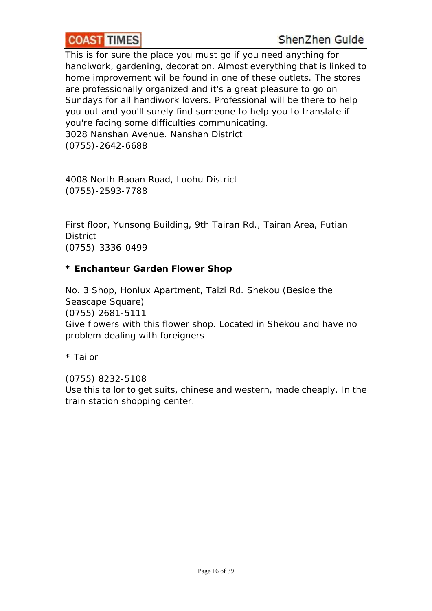#### **COAST TIMES**  $\overline{\phantom{a}}$

*This is for sure the place you must go if you need anything for handiwork, gardening, decoration. Almost everything that is linked to home improvement wil be found in one of these outlets. The stores are professionally organized and it's a great pleasure to go on Sundays for all handiwork lovers. Professional will be there to help you out and you'll surely find someone to help you to translate if you're facing some difficulties communicating.* 3028 Nanshan Avenue. Nanshan District (0755)-2642-6688

4008 North Baoan Road, Luohu District (0755)-2593-7788

First floor, Yunsong Building, 9th Tairan Rd., Tairan Area, Futian **District** (0755)-3336-0499

### **\* Enchanteur Garden Flower Shop**

No. 3 Shop, Honlux Apartment, Taizi Rd. Shekou (Beside the Seascape Square) (0755) 2681-5111 *Give flowers with this flower shop. Located in Shekou and have no problem dealing with foreigners*

*\* Tailor* 

*(0755) 8232-5108 Use this tailor to get suits, chinese and western, made cheaply. In the train station shopping center.*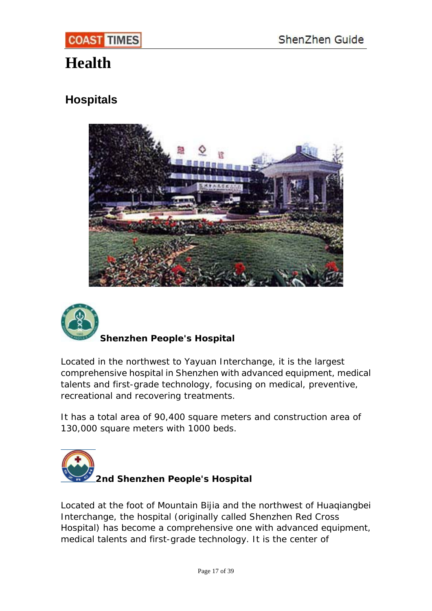# <span id="page-16-0"></span>**Health**

## **Hospitals**





## **Shenzhen People's Hospital**

Located in the northwest to Yayuan Interchange, it is the largest comprehensive hospital in Shenzhen with advanced equipment, medical talents and first-grade technology, focusing on medical, preventive, recreational and recovering treatments.

It has a total area of 90,400 square meters and construction area of 130,000 square meters with 1000 beds.



Located at the foot of Mountain Bijia and the northwest of Huaqiangbei Interchange, the hospital (originally called Shenzhen Red Cross Hospital) has become a comprehensive one with advanced equipment, medical talents and first-grade technology. It is the center of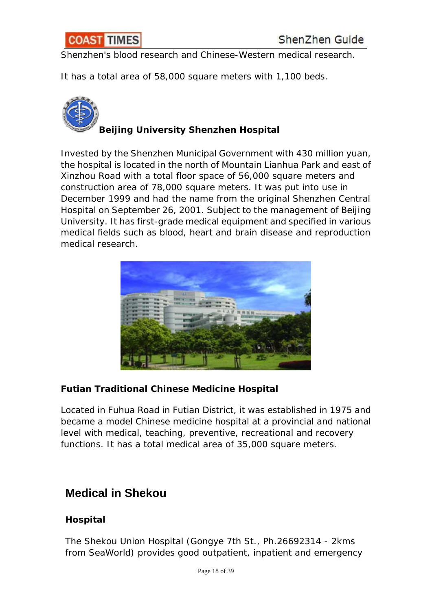<span id="page-17-0"></span>

Shenzhen's blood research and Chinese-Western medical research.

It has a total area of 58,000 square meters with 1,100 beds.



**Beijing University Shenzhen Hospital**

Invested by the Shenzhen Municipal Government with 430 million yuan, the hospital is located in the north of Mountain Lianhua Park and east of Xinzhou Road with a total floor space of 56,000 square meters and construction area of 78,000 square meters. It was put into use in December 1999 and had the name from the original Shenzhen Central Hospital on September 26, 2001. Subject to the management of Beijing University. It has first-grade medical equipment and specified in various medical fields such as blood, heart and brain disease and reproduction medical research.



## **Futian Traditional Chinese Medicine Hospital**

Located in Fuhua Road in Futian District, it was established in 1975 and became a model Chinese medicine hospital at a provincial and national level with medical, teaching, preventive, recreational and recovery functions. It has a total medical area of 35,000 square meters.

## **[Medical in Shekou](http://www.shenzhenrent.com/shenzhenlife.asp#medical#medical)**

## **Hospital**

The Shekou Union Hospital (Gongye 7th St., Ph.26692314 - 2kms from SeaWorld) provides good outpatient, inpatient and emergency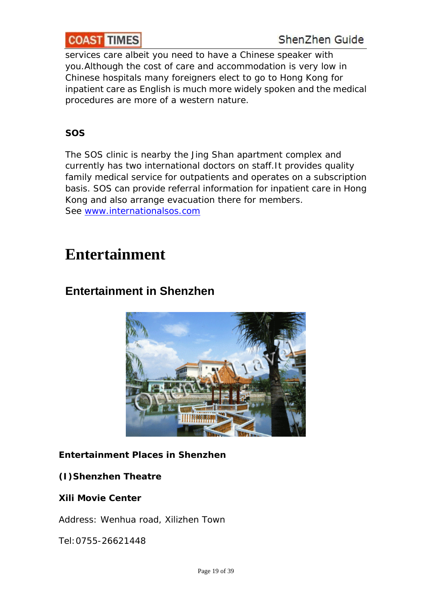<span id="page-18-0"></span>services care albeit you need to have a Chinese speaker with you.Although the cost of care and accommodation is very low in Chinese hospitals many foreigners elect to go to Hong Kong for inpatient care as English is much more widely spoken and the medical procedures are more of a western nature.

## **SOS**

The SOS clinic is nearby the Jing Shan apartment complex and currently has two international doctors on staff.It provides quality family medical service for outpatients and operates on a subscription basis. SOS can provide referral information for inpatient care in Hong Kong and also arrange evacuation there for members. See [www.internationalsos.com](http://www.internationalsos.com/)

# **[Entertainment](http://www.shenzhenrent.com/shenzhenlife.asp#entertainment#entertainment)**

## **Entertainment in Shenzhen**



## **Entertainment Places in Shenzhen**

## **(I)Shenzhen Theatre**

#### **Xili Movie Center**

Address: Wenhua road, Xilizhen Town

Tel:0755-26621448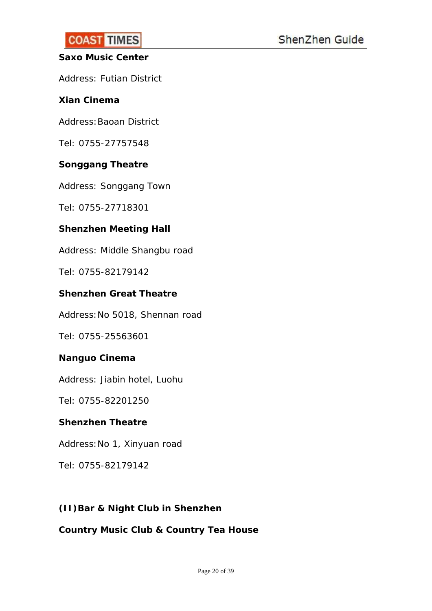### **Saxo Music Center**

Address: Futian District

### **Xian Cinema**

Address: Baoan District

Tel: 0755-27757548

### **Songgang Theatre**

Address: Songgang Town

Tel: 0755-27718301

### **Shenzhen Meeting Hall**

Address: Middle Shangbu road

Tel: 0755-82179142

#### **Shenzhen Great Theatre**

Address:No 5018, Shennan road

Tel: 0755-25563601

#### **Nanguo Cinema**

Address: Jiabin hotel, Luohu

Tel: 0755-82201250

#### **Shenzhen Theatre**

Address:No 1, Xinyuan road

Tel: 0755-82179142

## **(II)Bar & Night Club in Shenzhen**

### **Country Music Club & Country Tea House**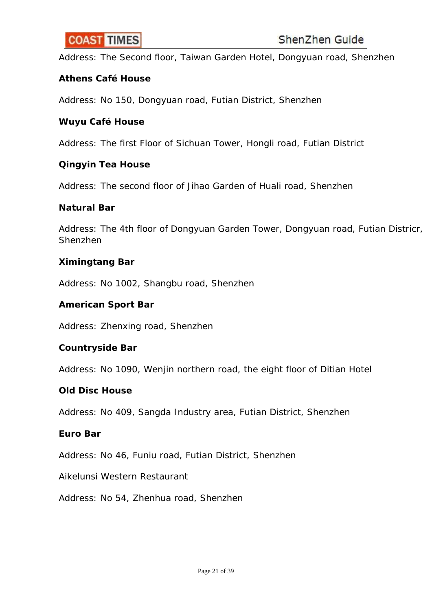Address: The Second floor, Taiwan Garden Hotel, Dongyuan road, Shenzhen

#### **Athens Café House**

Address: No 150, Dongyuan road, Futian District, Shenzhen

#### **Wuyu Café House**

Address: The first Floor of Sichuan Tower, Hongli road, Futian District

#### **Qingyin Tea House**

Address: The second floor of Jihao Garden of Huali road, Shenzhen

#### **Natural Bar**

Address: The 4th floor of Dongyuan Garden Tower, Dongyuan road, Futian Districr, Shenzhen

#### **Ximingtang Bar**

Address: No 1002, Shangbu road, Shenzhen

#### **American Sport Bar**

Address: Zhenxing road, Shenzhen

#### **Countryside Bar**

Address: No 1090, Wenjin northern road, the eight floor of Ditian Hotel

#### **Old Disc House**

Address: No 409, Sangda Industry area, Futian District, Shenzhen

#### **Euro Bar**

Address: No 46, Funiu road, Futian District, Shenzhen

Aikelunsi Western Restaurant

Address: No 54, Zhenhua road, Shenzhen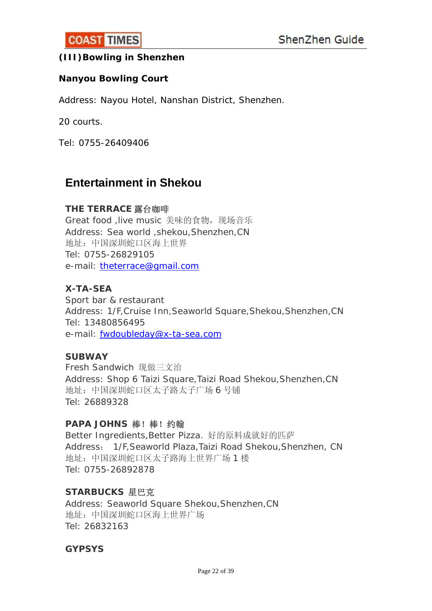## <span id="page-21-0"></span>**(III)Bowling in Shenzhen**

#### **Nanyou Bowling Court**

Address: Nayou Hotel, Nanshan District, Shenzhen.

20 courts.

Tel: 0755-26409406

## **Entertainment in Shekou**

#### **THE TERRACE** 露台咖啡

Great food ,live music 美味的食物, 现场音乐 Address: Sea world ,shekou,Shenzhen,CN 地址:中国深圳蛇口区海上世界 Tel: 0755-26829105 e-mail: [theterrace@gmail.com](mailto:theterrace@gmail.com)

#### **X-TA-SEA**

Sport bar & restaurant Address: 1/F,Cruise Inn,Seaworld Square,Shekou,Shenzhen,CN Tel: 13480856495 e-mail: [fwdoubleday@x-ta-sea.com](mailto:fwdoubleday@x-ta-sea.com)

#### **SUBWAY**

Fresh Sandwich 现做三文治 Address: Shop 6 Taizi Square,Taizi Road Shekou,Shenzhen,CN 地址:中国深圳蛇口区太子路太子广场 6 号铺 Tel: 26889328

#### **PAPA JOHNS** 棒!棒!约翰

Better Ingredients,Better Pizza. 好的原料成就好的匹萨 Address: 1/F,Seaworld Plaza,Taizi Road Shekou,Shenzhen, CN 地址:中国深圳蛇口区太子路海上世界广场 1 楼 Tel: 0755-26892878

#### **STARBUCKS** 星巴克

Address: Seaworld Square Shekou,Shenzhen,CN 地址:中国深圳蛇口区海上世界广场 Tel: 26832163

#### **GYPSYS**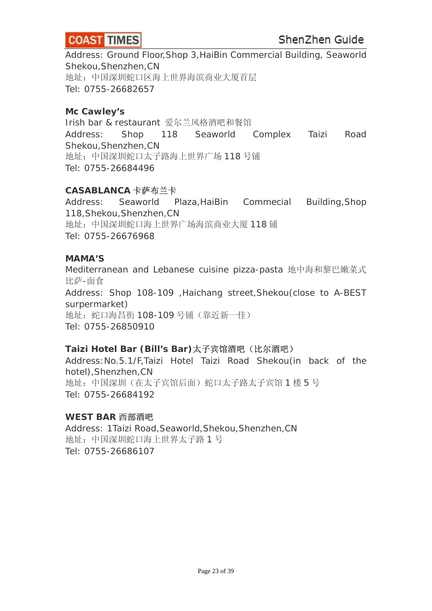

Address: Ground Floor,Shop 3,HaiBin Commercial Building, Seaworld Shekou,Shenzhen,CN 地址:中国深圳蛇口区海上世界海滨商业大厦首层 Tel: 0755-26682657

#### **Mc Cawley's**

Irish bar & restaurant 爱尔兰风格酒吧和餐馆 Address: Shop 118 Seaworld Complex Taizi Road Shekou,Shenzhen,CN 地址:中国深圳蛇口太子路海上世界广场 118 号铺 Tel: 0755-26684496

#### **CASABLANCA** 卡萨布兰卡

Address: Seaworld Plaza,HaiBin Commecial Building,Shop 118,Shekou,Shenzhen,CN 地址:中国深圳蛇口海上世界广场海滨商业大厦 118 铺 Tel: 0755-26676968

#### **MAMA'S**

Mediterranean and Lebanese cuisine pizza-pasta 地中海和黎巴嫩菜式 比萨-面食 Address: Shop 108-109 ,Haichang street,Shekou(close to A-BEST surpermarket) 地址:蛇口海昌街 108-109 号铺(靠近新一佳) Tel: 0755-26850910

#### **Taizi Hotel Bar (Bill's Bar)**太子宾馆酒吧(比尔酒吧)

Address:No.5.1/F,Taizi Hotel Taizi Road Shekou(in back of the hotel),Shenzhen,CN 地址:中国深圳(在太子宾馆后面)蛇口太子路太子宾馆 1 楼 5 号 Tel: 0755-26684192

#### **WEST BAR** 西部酒吧

Address: 1Taizi Road,Seaworld,Shekou,Shenzhen,CN 地址:中国深圳蛇口海上世界太子路 1 号 Tel: 0755-26686107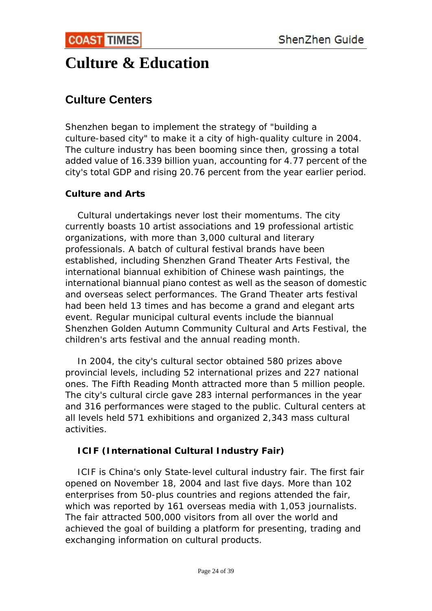# <span id="page-23-0"></span>**Culture & Education**

## **Culture Centers**

Shenzhen began to implement the strategy of "building a culture-based city" to make it a city of high-quality culture in 2004. The culture industry has been booming since then, grossing a total added value of 16.339 billion yuan, accounting for 4.77 percent of the city's total GDP and rising 20.76 percent from the year earlier period.

## **Culture and Arts**

 Cultural undertakings never lost their momentums. The city currently boasts 10 artist associations and 19 professional artistic organizations, with more than 3,000 cultural and literary professionals. A batch of cultural festival brands have been established, including Shenzhen Grand Theater Arts Festival, the international biannual exhibition of Chinese wash paintings, the international biannual piano contest as well as the season of domestic and overseas select performances. The Grand Theater arts festival had been held 13 times and has become a grand and elegant arts event. Regular municipal cultural events include the biannual Shenzhen Golden Autumn Community Cultural and Arts Festival, the children's arts festival and the annual reading month.

 In 2004, the city's cultural sector obtained 580 prizes above provincial levels, including 52 international prizes and 227 national ones. The Fifth Reading Month attracted more than 5 million people. The city's cultural circle gave 283 internal performances in the year and 316 performances were staged to the public. Cultural centers at all levels held 571 exhibitions and organized 2,343 mass cultural activities.

## **ICIF (International Cultural Industry Fair)**

 ICIF is China's only State-level cultural industry fair. The first fair opened on November 18, 2004 and last five days. More than 102 enterprises from 50-plus countries and regions attended the fair, which was reported by 161 overseas media with 1,053 journalists. The fair attracted 500,000 visitors from all over the world and achieved the goal of building a platform for presenting, trading and exchanging information on cultural products.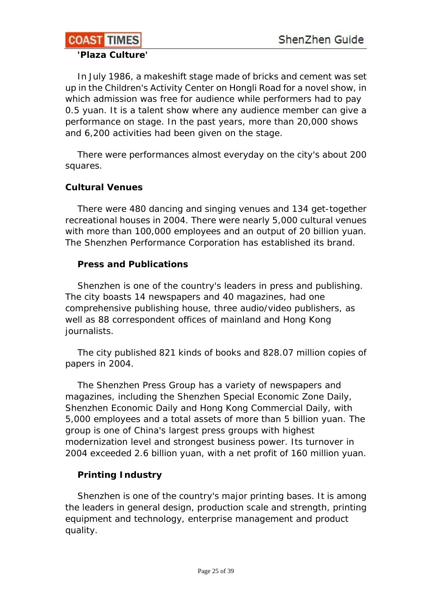#### **COAST TIMES**  $\overline{\phantom{a}}$

#### **'Plaza Culture'**

 In July 1986, a makeshift stage made of bricks and cement was set up in the Children's Activity Center on Hongli Road for a novel show, in which admission was free for audience while performers had to pay 0.5 yuan. It is a talent show where any audience member can give a performance on stage. In the past years, more than 20,000 shows and 6,200 activities had been given on the stage.

 There were performances almost everyday on the city's about 200 squares.

## **Cultural Venues**

 There were 480 dancing and singing venues and 134 get-together recreational houses in 2004. There were nearly 5,000 cultural venues with more than 100,000 employees and an output of 20 billion yuan. The Shenzhen Performance Corporation has established its brand.

## **Press and Publications**

 Shenzhen is one of the country's leaders in press and publishing. The city boasts 14 newspapers and 40 magazines, had one comprehensive publishing house, three audio/video publishers, as well as 88 correspondent offices of mainland and Hong Kong journalists.

 The city published 821 kinds of books and 828.07 million copies of papers in 2004.

 The Shenzhen Press Group has a variety of newspapers and magazines, including the Shenzhen Special Economic Zone Daily, Shenzhen Economic Daily and Hong Kong Commercial Daily, with 5,000 employees and a total assets of more than 5 billion yuan. The group is one of China's largest press groups with highest modernization level and strongest business power. Its turnover in 2004 exceeded 2.6 billion yuan, with a net profit of 160 million yuan.

## **Printing Industry**

Shenzhen is one of the country's major printing bases. It is among the leaders in general design, production scale and strength, printing equipment and technology, enterprise management and product quality.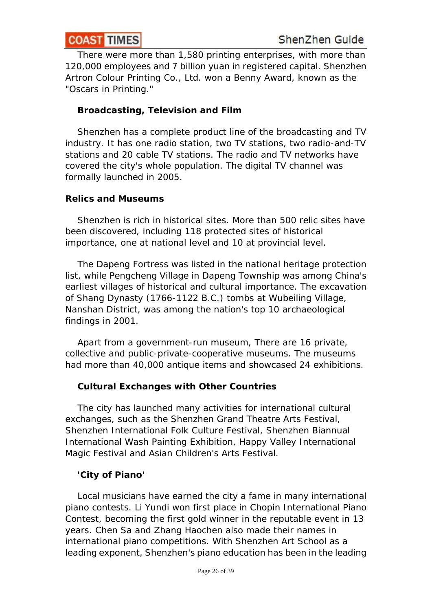There were more than 1,580 printing enterprises, with more than 120,000 employees and 7 billion yuan in registered capital. Shenzhen Artron Colour Printing Co., Ltd. won a Benny Award, known as the "Oscars in Printing."

## **Broadcasting, Television and Film**

 Shenzhen has a complete product line of the broadcasting and TV industry. It has one radio station, two TV stations, two radio-and-TV stations and 20 cable TV stations. The radio and TV networks have covered the city's whole population. The digital TV channel was formally launched in 2005.

## **Relics and Museums**

 Shenzhen is rich in historical sites. More than 500 relic sites have been discovered, including 118 protected sites of historical importance, one at national level and 10 at provincial level.

 The Dapeng Fortress was listed in the national heritage protection list, while Pengcheng Village in Dapeng Township was among China's earliest villages of historical and cultural importance. The excavation of Shang Dynasty (1766-1122 B.C.) tombs at Wubeiling Village, Nanshan District, was among the nation's top 10 archaeological findings in 2001.

 Apart from a government-run museum, There are 16 private, collective and public-private-cooperative museums. The museums had more than 40,000 antique items and showcased 24 exhibitions.

## **Cultural Exchanges with Other Countries**

 The city has launched many activities for international cultural exchanges, such as the Shenzhen Grand Theatre Arts Festival, Shenzhen International Folk Culture Festival, Shenzhen Biannual International Wash Painting Exhibition, Happy Valley International Magic Festival and Asian Children's Arts Festival.

## **'City of Piano'**

 Local musicians have earned the city a fame in many international piano contests. Li Yundi won first place in Chopin International Piano Contest, becoming the first gold winner in the reputable event in 13 years. Chen Sa and Zhang Haochen also made their names in international piano competitions. With Shenzhen Art School as a leading exponent, Shenzhen's piano education has been in the leading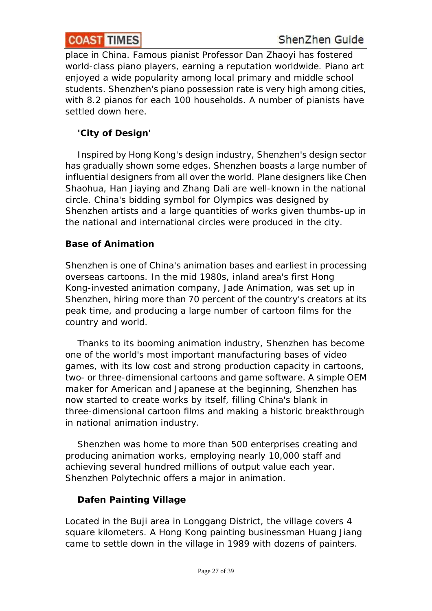place in China. Famous pianist Professor Dan Zhaoyi has fostered world-class piano players, earning a reputation worldwide. Piano art enjoyed a wide popularity among local primary and middle school students. Shenzhen's piano possession rate is very high among cities, with 8.2 pianos for each 100 households. A number of pianists have settled down here.

## **'City of Design'**

 Inspired by Hong Kong's design industry, Shenzhen's design sector has gradually shown some edges. Shenzhen boasts a large number of influential designers from all over the world. Plane designers like Chen Shaohua, Han Jiaying and Zhang Dali are well-known in the national circle. China's bidding symbol for Olympics was designed by Shenzhen artists and a large quantities of works given thumbs-up in the national and international circles were produced in the city.

## **Base of Animation**

Shenzhen is one of China's animation bases and earliest in processing overseas cartoons. In the mid 1980s, inland area's first Hong Kong-invested animation company, Jade Animation, was set up in Shenzhen, hiring more than 70 percent of the country's creators at its peak time, and producing a large number of cartoon films for the country and world.

 Thanks to its booming animation industry, Shenzhen has become one of the world's most important manufacturing bases of video games, with its low cost and strong production capacity in cartoons, two- or three-dimensional cartoons and game software. A simple OEM maker for American and Japanese at the beginning, Shenzhen has now started to create works by itself, filling China's blank in three-dimensional cartoon films and making a historic breakthrough in national animation industry.

 Shenzhen was home to more than 500 enterprises creating and producing animation works, employing nearly 10,000 staff and achieving several hundred millions of output value each year. Shenzhen Polytechnic offers a major in animation.

## **Dafen Painting Village**

Located in the Buji area in Longgang District, the village covers 4 square kilometers. A Hong Kong painting businessman Huang Jiang came to settle down in the village in 1989 with dozens of painters.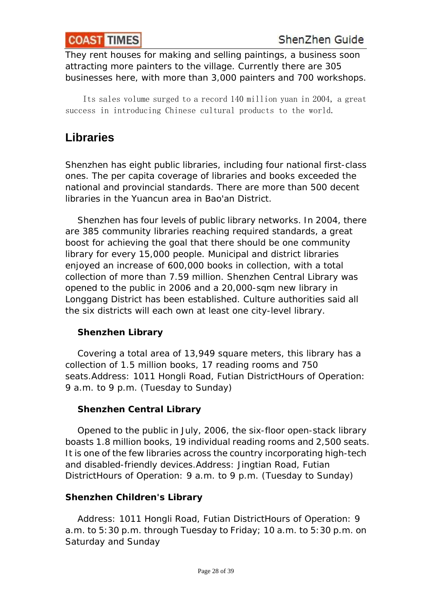<span id="page-27-0"></span>They rent houses for making and selling paintings, a business soon attracting more painters to the village. Currently there are 305 businesses here, with more than 3,000 painters and 700 workshops.

 Its sales volume surged to a record 140 million yuan in 2004, a great success in introducing Chinese cultural products to the world.

## **Libraries**

Shenzhen has eight public libraries, including four national first-class ones. The per capita coverage of libraries and books exceeded the national and provincial standards. There are more than 500 decent libraries in the Yuancun area in Bao'an District.

 Shenzhen has four levels of public library networks. In 2004, there are 385 community libraries reaching required standards, a great boost for achieving the goal that there should be one community library for every 15,000 people. Municipal and district libraries enjoyed an increase of 600,000 books in collection, with a total collection of more than 7.59 million. Shenzhen Central Library was opened to the public in 2006 and a 20,000-sqm new library in Longgang District has been established. Culture authorities said all the six districts will each own at least one city-level library.

## **Shenzhen Library**

 Covering a total area of 13,949 square meters, this library has a collection of 1.5 million books, 17 reading rooms and 750 seats.Address: 1011 Hongli Road, Futian DistrictHours of Operation: 9 a.m. to 9 p.m. (Tuesday to Sunday)

## **Shenzhen Central Library**

 Opened to the public in July, 2006, the six-floor open-stack library boasts 1.8 million books, 19 individual reading rooms and 2,500 seats. It is one of the few libraries across the country incorporating high-tech and disabled-friendly devices.Address: Jingtian Road, Futian DistrictHours of Operation: 9 a.m. to 9 p.m. (Tuesday to Sunday)

## **Shenzhen Children's Library**

 Address: 1011 Hongli Road, Futian DistrictHours of Operation: 9 a.m. to 5:30 p.m. through Tuesday to Friday; 10 a.m. to 5:30 p.m. on Saturday and Sunday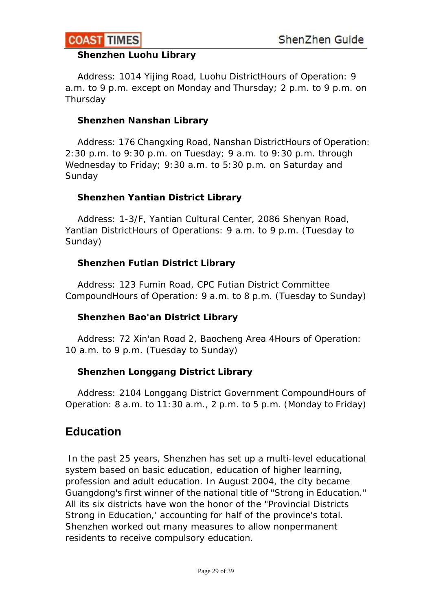<span id="page-28-0"></span>

#### **Shenzhen Luohu Library**

 Address: 1014 Yijing Road, Luohu DistrictHours of Operation: 9 a.m. to 9 p.m. except on Monday and Thursday; 2 p.m. to 9 p.m. on Thursday

#### **Shenzhen Nanshan Library**

 Address: 176 Changxing Road, Nanshan DistrictHours of Operation: 2:30 p.m. to 9:30 p.m. on Tuesday; 9 a.m. to 9:30 p.m. through Wednesday to Friday; 9:30 a.m. to 5:30 p.m. on Saturday and Sunday

#### **Shenzhen Yantian District Library**

 Address: 1-3/F, Yantian Cultural Center, 2086 Shenyan Road, Yantian DistrictHours of Operations: 9 a.m. to 9 p.m. (Tuesday to Sunday)

#### **Shenzhen Futian District Library**

 Address: 123 Fumin Road, CPC Futian District Committee CompoundHours of Operation: 9 a.m. to 8 p.m. (Tuesday to Sunday)

#### **Shenzhen Bao'an District Library**

 Address: 72 Xin'an Road 2, Baocheng Area 4Hours of Operation: 10 a.m. to 9 p.m. (Tuesday to Sunday)

#### **Shenzhen Longgang District Library**

 Address: 2104 Longgang District Government CompoundHours of Operation: 8 a.m. to 11:30 a.m., 2 p.m. to 5 p.m. (Monday to Friday)

## **Education**

 In the past 25 years, Shenzhen has set up a multi-level educational system based on basic education, education of higher learning, profession and adult education. In August 2004, the city became Guangdong's first winner of the national title of "Strong in Education." All its six districts have won the honor of the "Provincial Districts Strong in Education,' accounting for half of the province's total. Shenzhen worked out many measures to allow nonpermanent residents to receive compulsory education.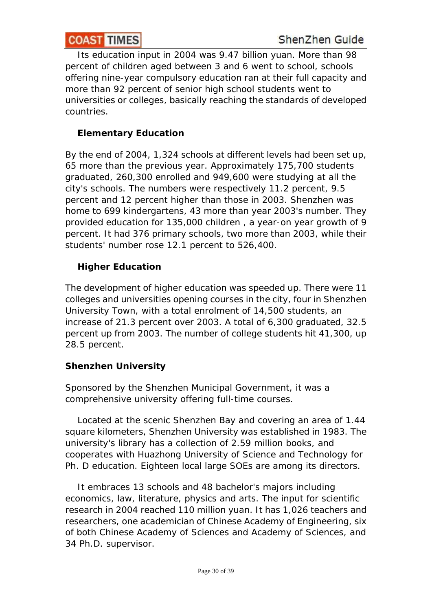Its education input in 2004 was 9.47 billion yuan. More than 98 percent of children aged between 3 and 6 went to school, schools offering nine-year compulsory education ran at their full capacity and more than 92 percent of senior high school students went to universities or colleges, basically reaching the standards of developed countries.

## **Elementary Education**

By the end of 2004, 1,324 schools at different levels had been set up, 65 more than the previous year. Approximately 175,700 students graduated, 260,300 enrolled and 949,600 were studying at all the city's schools. The numbers were respectively 11.2 percent, 9.5 percent and 12 percent higher than those in 2003. Shenzhen was home to 699 kindergartens, 43 more than year 2003's number. They provided education for 135,000 children , a year-on year growth of 9 percent. It had 376 primary schools, two more than 2003, while their students' number rose 12.1 percent to 526,400.

## **Higher Education**

The development of higher education was speeded up. There were 11 colleges and universities opening courses in the city, four in Shenzhen University Town, with a total enrolment of 14,500 students, an increase of 21.3 percent over 2003. A total of 6,300 graduated, 32.5 percent up from 2003. The number of college students hit 41,300, up 28.5 percent.

## **Shenzhen University**

Sponsored by the Shenzhen Municipal Government, it was a comprehensive university offering full-time courses.

 Located at the scenic Shenzhen Bay and covering an area of 1.44 square kilometers, Shenzhen University was established in 1983. The university's library has a collection of 2.59 million books, and cooperates with Huazhong University of Science and Technology for Ph. D education. Eighteen local large SOEs are among its directors.

 It embraces 13 schools and 48 bachelor's majors including economics, law, literature, physics and arts. The input for scientific research in 2004 reached 110 million yuan. It has 1,026 teachers and researchers, one academician of Chinese Academy of Engineering, six of both Chinese Academy of Sciences and Academy of Sciences, and 34 Ph.D. supervisor.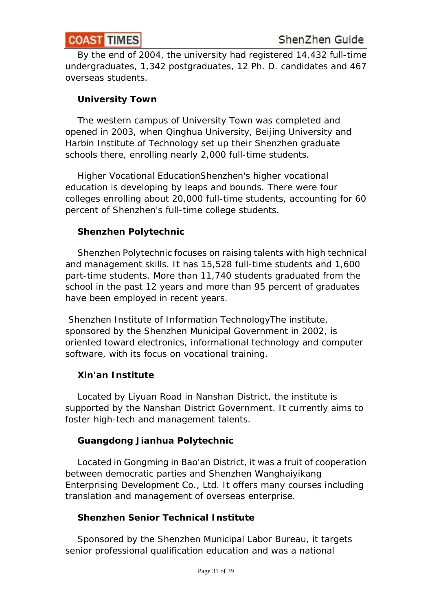By the end of 2004, the university had registered 14,432 full-time undergraduates, 1,342 postgraduates, 12 Ph. D. candidates and 467 overseas students.

## **University Town**

 The western campus of University Town was completed and opened in 2003, when Qinghua University, Beijing University and Harbin Institute of Technology set up their Shenzhen graduate schools there, enrolling nearly 2,000 full-time students.

 Higher Vocational EducationShenzhen's higher vocational education is developing by leaps and bounds. There were four colleges enrolling about 20,000 full-time students, accounting for 60 percent of Shenzhen's full-time college students.

## **Shenzhen Polytechnic**

 Shenzhen Polytechnic focuses on raising talents with high technical and management skills. It has 15,528 full-time students and 1,600 part-time students. More than 11,740 students graduated from the school in the past 12 years and more than 95 percent of graduates have been employed in recent years.

 Shenzhen Institute of Information TechnologyThe institute, sponsored by the Shenzhen Municipal Government in 2002, is oriented toward electronics, informational technology and computer software, with its focus on vocational training.

## **Xin'an Institute**

 Located by Liyuan Road in Nanshan District, the institute is supported by the Nanshan District Government. It currently aims to foster high-tech and management talents.

## **Guangdong Jianhua Polytechnic**

 Located in Gongming in Bao'an District, it was a fruit of cooperation between democratic parties and Shenzhen Wanghaiyikang Enterprising Development Co., Ltd. It offers many courses including translation and management of overseas enterprise.

## **Shenzhen Senior Technical Institute**

 Sponsored by the Shenzhen Municipal Labor Bureau, it targets senior professional qualification education and was a national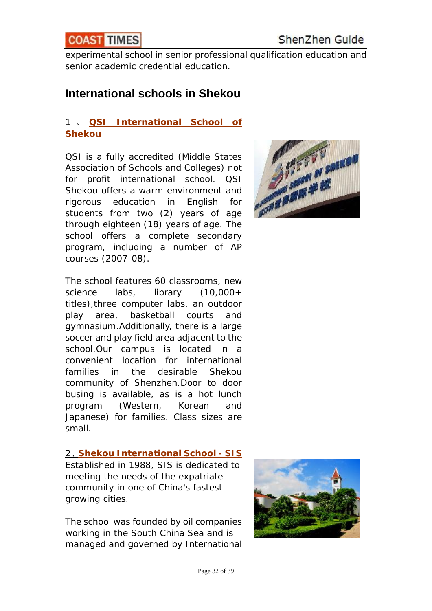<span id="page-31-0"></span>

experimental school in senior professional [qualification education and](http://www.qsi.org/shk_home/) senior academic credential education.

## **International schools in Shekou**

## 1 、 **[QSI International School of](http://www.qsi.org/shk_home/)  [Shekou](http://www.qsi.org/shk_home/)**

QSI is a fully accredited (Middle States Association of Schools and Colleges) not for profit international school. QSI Shekou offers a warm environment and rigorous education in English for students from two (2) years of age through eighteen (18) years of age. The school offers a complete secondary program, including a number of AP courses (2007-08).

The school features 60 classrooms, new science labs, library (10,000+ titles),three computer labs, an outdoor play area, basketball courts and gymnasium.Additionally, there is a large soccer and play field area adjacent to the school.Our campus is located in a convenient location for international families in the desirable Shekou community of Shenzhen.Door to door busing is available, as is a hot lunch program (Western, Korean and Japanese) for families. Class sizes are small.

#### 2、**[Shekou International School - SIS](http://www.sis.org.cn/)**

Established in 1988, SIS is dedicated to meeting the needs of the expatriate community in one of China's fastest growing cities.

The school was founded by oil companies working in the South China Sea and is managed and governed by International



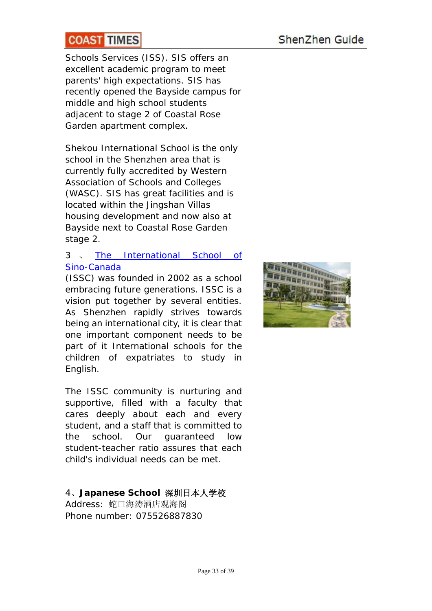## ShenZhen Guide

## **COAST TIMES**

Schools Services (ISS). SIS offers an excellent academic program to meet parents' high expectations. SIS has recently opened the Bayside campus for middle and high school students adjacent to stage 2 of Coastal Rose Garden apartment complex.

 $\overline{\phantom{a}}$ 

Shekou International School is the only school in the Shenzhen area that is currently fully accredited by Western Association of Schools and Colleges (WASC). SIS has great facilities and is located within the Jingshan Villas housing development and now also at Bayside next to Coastal Rose Garden stage 2.

### 3 、 [The International School of](http://www.issc.com.cn/index.htm)  [Sino-Canada](http://www.issc.com.cn/index.htm)

(ISSC) was founded in 2002 as a school embracing future generations. ISSC is a vision put together by several entities. As Shenzhen rapidly strives towards being an international city, it is clear that one important component needs to be part of it International schools for the children of expatriates to study in English.

The ISSC community is nurturing and supportive, filled with a faculty that cares deeply about each and every student, and a staff that is committed to the school. Our guaranteed low student-teacher ratio assures that each child's individual needs can be met.

## 4、**Japanese School** 深圳日本人学校

Address: 蛇口海涛酒店观海阁 Phone number: 075526887830

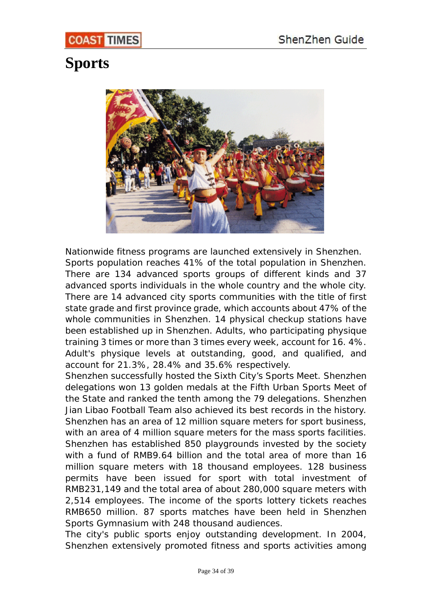# <span id="page-33-0"></span>**Sports**



Nationwide fitness programs are launched extensively in Shenzhen. Sports population reaches 41% of the total population in Shenzhen. There are 134 advanced sports groups of different kinds and 37 advanced sports individuals in the whole country and the whole city. There are 14 advanced city sports communities with the title of first state grade and first province grade, which accounts about 47% of the whole communities in Shenzhen. 14 physical checkup stations have been established up in Shenzhen. Adults, who participating physique training 3 times or more than 3 times every week, account for 16. 4%. Adult's physique levels at outstanding, good, and qualified, and account for 21.3%, 28.4% and 35.6% respectively.

Shenzhen successfully hosted the Sixth City's Sports Meet. Shenzhen delegations won 13 golden medals at the Fifth Urban Sports Meet of the State and ranked the tenth among the 79 delegations. Shenzhen Jian Libao Football Team also achieved its best records in the history. Shenzhen has an area of 12 million square meters for sport business, with an area of 4 million square meters for the mass sports facilities. Shenzhen has established 850 playgrounds invested by the society with a fund of RMB9.64 billion and the total area of more than 16 million square meters with 18 thousand employees. 128 business permits have been issued for sport with total investment of RMB231,149 and the total area of about 280,000 square meters with 2,514 employees. The income of the sports lottery tickets reaches RMB650 million. 87 sports matches have been held in Shenzhen Sports Gymnasium with 248 thousand audiences.

The city's public sports enjoy outstanding development. In 2004, Shenzhen extensively promoted fitness and sports activities among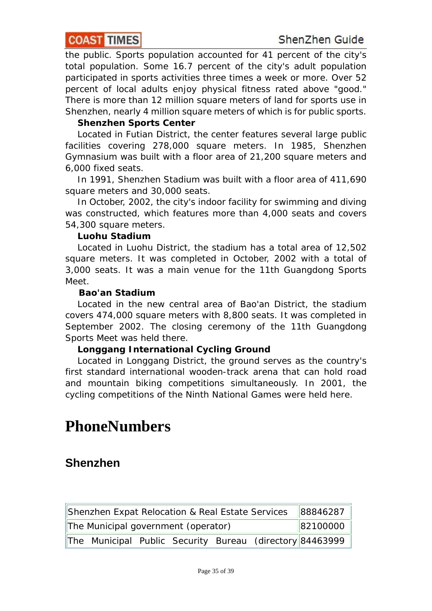<span id="page-34-0"></span>the public. Sports population accounted for 41 percent of the city's total population. Some 16.7 percent of the city's adult population participated in sports activities three times a week or more. Over 52 percent of local adults enjoy physical fitness rated above "good." There is more than 12 million square meters of land for sports use in Shenzhen, nearly 4 million square meters of which is for public sports.

#### **Shenzhen Sports Center**

 Located in Futian District, the center features several large public facilities covering 278,000 square meters. In 1985, Shenzhen Gymnasium was built with a floor area of 21,200 square meters and 6,000 fixed seats.

 In 1991, Shenzhen Stadium was built with a floor area of 411,690 square meters and 30,000 seats.

 In October, 2002, the city's indoor facility for swimming and diving was constructed, which features more than 4,000 seats and covers 54,300 square meters.

#### **Luohu Stadium**

 Located in Luohu District, the stadium has a total area of 12,502 square meters. It was completed in October, 2002 with a total of 3,000 seats. It was a main venue for the 11th Guangdong Sports Meet.

#### **Bao'an Stadium**

 Located in the new central area of Bao'an District, the stadium covers 474,000 square meters with 8,800 seats. It was completed in September 2002. The closing ceremony of the 11th Guangdong Sports Meet was held there.

#### **Longgang International Cycling Ground**

 Located in Longgang District, the ground serves as the country's first standard international wooden-track arena that can hold road and mountain biking competitions simultaneously. In 2001, the cycling competitions of the Ninth National Games were held here.

# **PhoneNumbers**

## **Shenzhen**

Shenzhen Expat Relocation & Real Estate Services 88846287 The Municipal government (operator) 82100000 The Municipal Public Security Bureau (directory 84463999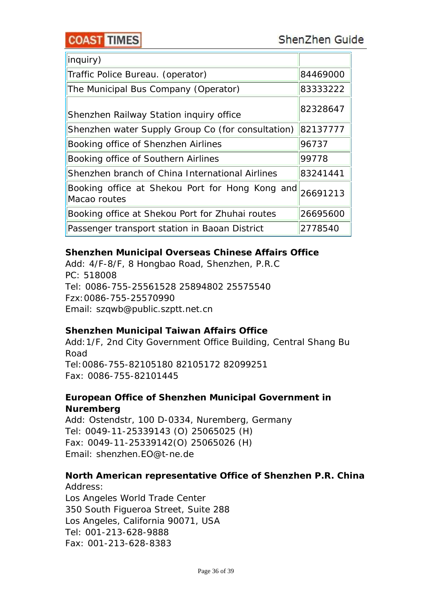## **COAST TIMES**

 $\overline{\phantom{a}}$ 

| inquiry)                                                        |          |
|-----------------------------------------------------------------|----------|
| Traffic Police Bureau. (operator)                               | 84469000 |
| The Municipal Bus Company (Operator)                            | 83333222 |
| Shenzhen Railway Station inquiry office                         | 82328647 |
| Shenzhen water Supply Group Co (for consultation)               | 82137777 |
| Booking office of Shenzhen Airlines                             | 96737    |
| Booking office of Southern Airlines                             | 99778    |
| Shenzhen branch of China International Airlines                 | 83241441 |
| Booking office at Shekou Port for Hong Kong and<br>Macao routes | 26691213 |
| Booking office at Shekou Port for Zhuhai routes                 | 26695600 |
| Passenger transport station in Baoan District                   | 2778540  |

## *Shenzhen Municipal Overseas Chinese Affairs Office*

Add: 4/F-8/F, 8 Hongbao Road, Shenzhen, P.R.C PC: 518008 Tel: 0086-755-25561528 25894802 25575540 Fzx:0086-755-25570990 Email: szqwb@public.szptt.net.cn

#### *Shenzhen Municipal Taiwan Affairs Office*

Add:1/F, 2nd City Government Office Building, Central Shang Bu Road Tel:0086-755-82105180 82105172 82099251 Fax: 0086-755-82101445

## *European Office of Shenzhen Municipal Government in Nuremberg*

Add: Ostendstr, 100 D-0334, Nuremberg, Germany Tel: 0049-11-25339143 (O) 25065025 (H) Fax: 0049-11-25339142(O) 25065026 (H) Email: shenzhen.EO@t-ne.de

## *North American representative Office of Shenzhen P.R. China*

Address: Los Angeles World Trade Center 350 South Figueroa Street, Suite 288 Los Angeles, California 90071, USA Tel: 001-213-628-9888 Fax: 001-213-628-8383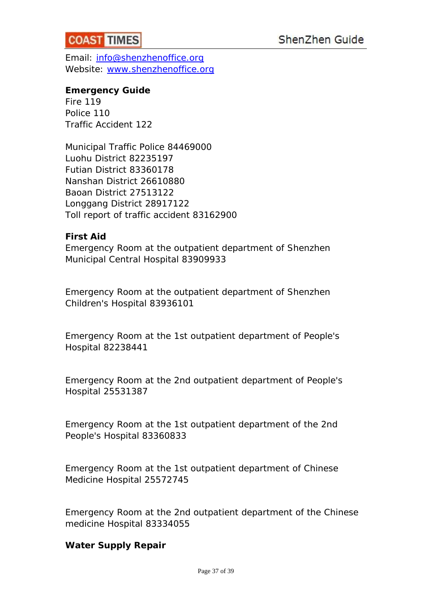

Email: [info@shenzhenoffice.org](mailto:info@shenzhenoffice.org) Website: [www.shenzhenoffice.org](http://www.shenzhenoffice.org/)

#### *Emergency Guide*

Fire 119 Police 110 Traffic Accident 122

Municipal Traffic Police 84469000 Luohu District 82235197 Futian District 83360178 Nanshan District 26610880 Baoan District 27513122 Longgang District 28917122 Toll report of traffic accident 83162900

#### *First Aid*

Emergency Room at the outpatient department of Shenzhen Municipal Central Hospital 83909933

Emergency Room at the outpatient department of Shenzhen Children's Hospital 83936101

Emergency Room at the 1st outpatient department of People's Hospital 82238441

Emergency Room at the 2nd outpatient department of People's Hospital 25531387

Emergency Room at the 1st outpatient department of the 2nd People's Hospital 83360833

Emergency Room at the 1st outpatient department of Chinese Medicine Hospital 25572745

Emergency Room at the 2nd outpatient department of the Chinese medicine Hospital 83334055

#### *Water Supply Repair*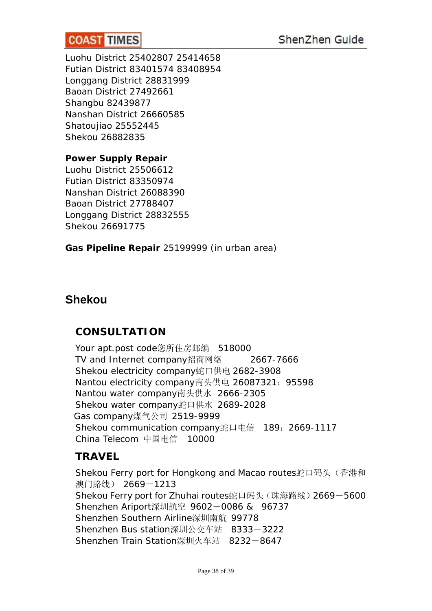<span id="page-37-0"></span>Luohu District 25402807 25414658 Futian District 83401574 83408954 Longgang District 28831999 Baoan District 27492661 Shangbu 82439877 Nanshan District 26660585 Shatoujiao 25552445 Shekou 26882835

 $\overline{\phantom{a}}$ 

### *Power Supply Repair*

Luohu District 25506612 Futian District 83350974 Nanshan District 26088390 Baoan District 27788407 Longgang District 28832555 Shekou 26691775

*Gas Pipeline Repair* 25199999 (in urban area)

## **Shekou**

## **CONSULTATION**

Your apt.post code您所住房邮编 518000 TV and Internet company招商网络 2667-7666 Shekou electricity company蛇口供电 2682-3908 Nantou electricity company南头供电 26087321; 95598 Nantou water company南头供水 2666-2305 Shekou water company蛇口供水 2689-2028 Gas company煤气公司 2519-9999 Shekou communication company蛇口电信 189;2669-1117 China Telecom 中国电信 10000

## **TRAVEL**

Shekou Ferry port for Hongkong and Macao routes蛇口码头 (香港和 澳门路线) 2669-1213 Shekou Ferry port for Zhuhai routes蛇口码头(珠海路线)2669-5600 Shenzhen Ariport深圳航空 9602-0086 & 96737 Shenzhen Southern Airline深圳南航 99778 Shenzhen Bus station深圳公交车站 8333-3222 Shenzhen Train Station深圳火车站 8232-8647